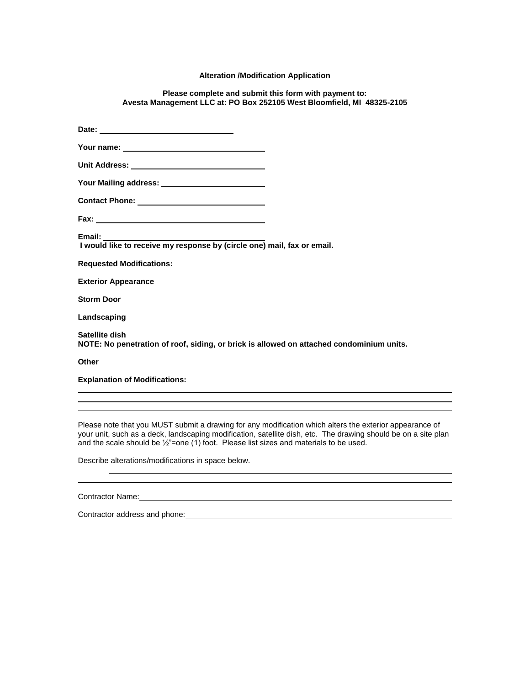## **Alteration /Modification Application**

## **Please complete and submit this form with payment to: Avesta Management LLC at: PO Box 252105 West Bloomfield, MI 48325-2105**

| Unit Address: _______________________________                                                              |  |
|------------------------------------------------------------------------------------------------------------|--|
| Your Mailing address: _________________________                                                            |  |
|                                                                                                            |  |
|                                                                                                            |  |
|                                                                                                            |  |
| <b>Requested Modifications:</b>                                                                            |  |
| <b>Exterior Appearance</b>                                                                                 |  |
| <b>Storm Door</b>                                                                                          |  |
| Landscaping                                                                                                |  |
| Satellite dish<br>NOTE: No penetration of roof, siding, or brick is allowed on attached condominium units. |  |
| Other                                                                                                      |  |
| <b>Explanation of Modifications:</b>                                                                       |  |

Please note that you MUST submit a drawing for any modification which alters the exterior appearance of your unit, such as a deck, landscaping modification, satellite dish, etc. The drawing should be on a site plan and the scale should be ½"=one (1) foot. Please list sizes and materials to be used.

Describe alterations/modifications in space below.

Contractor Name: Manual Contractor Name: Manual Contractor Name: Manual Contractor Name: Manual Contractor Name: Manual Contractor Name: Manual Contractor Name: Manual Contractor Name: Manual Contractor Name: Manual Contra

Contractor address and phone: **Example 2018** 2019 12:30:40 AM 2019 12:40:40 AM 2019 12:40:40 AM 2019 12:40:40 AM 2019 12:40:40 AM 2019 12:40:40 AM 2019 12:40:40 AM 2019 12:40:40 AM 2019 12:40:40 AM 2019 12:40:40 AM 2019 12